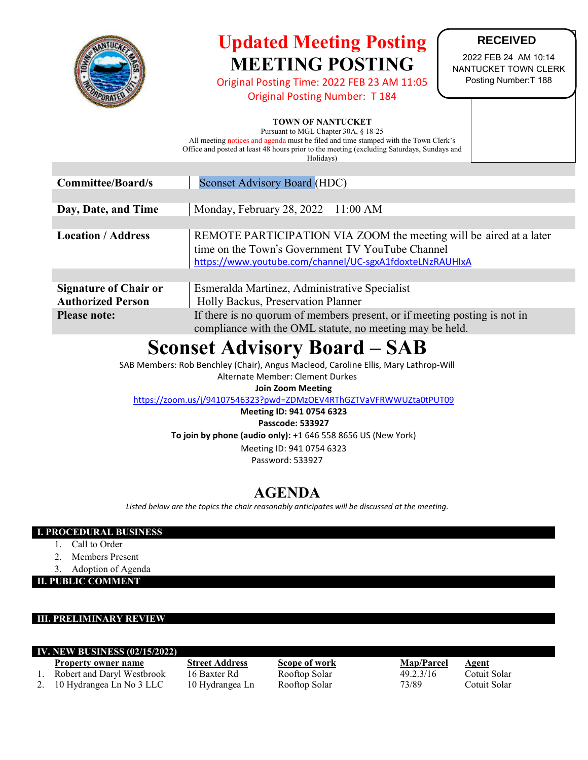

# **Updated Meeting Posting MEETING POSTING**

Original Posting Time: 2022 FEB 23 AM 11:05

Original Posting Number: T 184

### **RECEIVED**

2022 FEB 24 AM 10:14 NANTUCKET TOWN CLERK Posting Number:T 188

### **TOWN OF NANTUCKET**

Pursuant to MGL Chapter 30A, § 18-25 All meeting notices and agenda must be filed and time stamped with the Town Clerk's Office and posted at least 48 hours prior to the meeting (excluding Saturdays, Sundays and Holidays)

| <b>Committee/Board/s</b>                                 | <b>Sconset Advisory Board (HDC)</b>                                                                                                                                                |  |  |
|----------------------------------------------------------|------------------------------------------------------------------------------------------------------------------------------------------------------------------------------------|--|--|
|                                                          |                                                                                                                                                                                    |  |  |
| Day, Date, and Time                                      | Monday, February 28, $2022 - 11:00$ AM                                                                                                                                             |  |  |
|                                                          |                                                                                                                                                                                    |  |  |
| <b>Location</b> / <b>Address</b>                         | REMOTE PARTICIPATION VIA ZOOM the meeting will be aired at a later<br>time on the Town's Government TV YouTube Channel<br>https://www.youtube.com/channel/UC-sgxA1fdoxteLNzRAUHIxA |  |  |
|                                                          |                                                                                                                                                                                    |  |  |
| <b>Signature of Chair or</b><br><b>Authorized Person</b> | Esmeralda Martinez, Administrative Specialist<br>Holly Backus, Preservation Planner                                                                                                |  |  |
| <b>Please note:</b>                                      | If there is no quorum of members present, or if meeting posting is not in<br>compliance with the OML statute, no meeting may be held.                                              |  |  |

# **Sconset Advisory Board – SAB**

SAB Members: Rob Benchley (Chair), Angus Macleod, Caroline Ellis, Mary Lathrop-Will

Alternate Member: Clement Durkes

### **Join Zoom Meeting**

<https://zoom.us/j/94107546323?pwd=ZDMzOEV4RThGZTVaVFRWWUZta0tPUT09>

**Meeting ID: 941 0754 6323**

**Passcode: 533927**

**To join by phone (audio only):** +1 646 558 8656 US (New York)

Meeting ID: 941 0754 6323 Password: 533927

## **AGENDA**

*Listed below are the topics the chair reasonably anticipates will be discussed at the meeting.*

### **I. PROCEDURAL BUSINESS**

- 1. Call to Order
- 2. Members Present
- 3. Adoption of Agenda

**II. PUBLIC COMMENT**

### **III. PRELIMINARY REVIEW**

#### **IV. NEW BUSINESS (02/15/2022)**

- **Property owner name Street Address Scope of work Map/Parcel Agent**
- 1. Robert and Daryl Westbrook 16 Baxter Rd Rooftop Solar 49.2.3/16 Cotuit Solar
- 2. 10 Hydrangea Ln No 3 LLC 10 Hydrangea Ln Rooftop Solar 73/89 Cotuit Solar